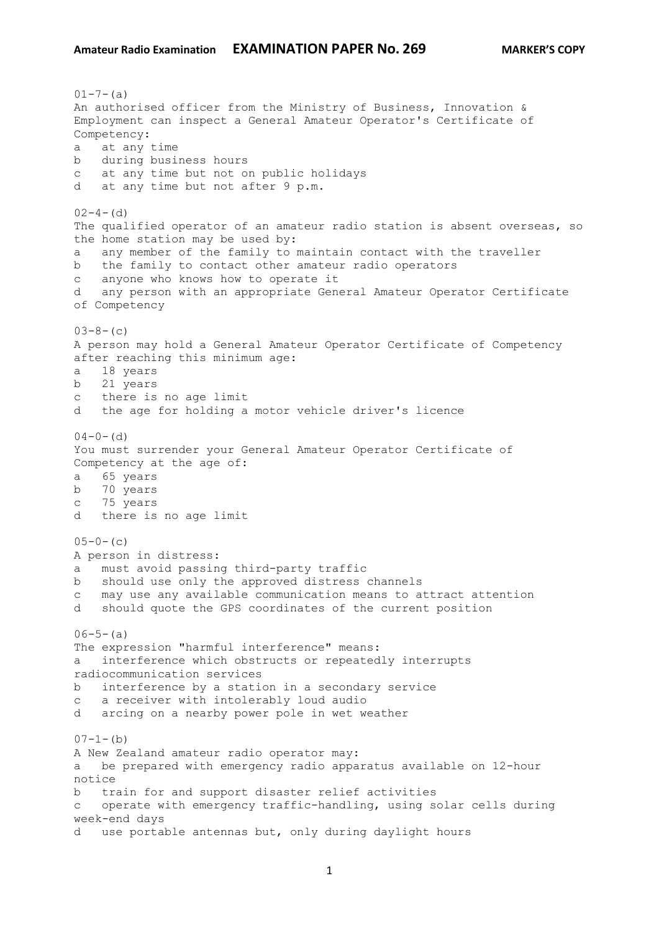$01 - 7 - (a)$ An authorised officer from the Ministry of Business, Innovation & Employment can inspect a General Amateur Operator's Certificate of Competency: a at any time b during business hours c at any time but not on public holidays d at any time but not after 9 p.m.  $02-4-$  (d) The qualified operator of an amateur radio station is absent overseas, so the home station may be used by: a any member of the family to maintain contact with the traveller b the family to contact other amateur radio operators c anyone who knows how to operate it d any person with an appropriate General Amateur Operator Certificate of Competency  $03-8-$  (c) A person may hold a General Amateur Operator Certificate of Competency after reaching this minimum age: a 18 years b 21 years c there is no age limit d the age for holding a motor vehicle driver's licence  $04-0-$  (d) You must surrender your General Amateur Operator Certificate of Competency at the age of: a 65 years b 70 years c 75 years d there is no age limit  $05-0-$  (c) A person in distress: a must avoid passing third-party traffic b should use only the approved distress channels c may use any available communication means to attract attention d should quote the GPS coordinates of the current position  $06-5-(a)$ The expression "harmful interference" means: a interference which obstructs or repeatedly interrupts radiocommunication services b interference by a station in a secondary service c a receiver with intolerably loud audio d arcing on a nearby power pole in wet weather  $07-1-(b)$ A New Zealand amateur radio operator may: a be prepared with emergency radio apparatus available on 12-hour notice b train for and support disaster relief activities c operate with emergency traffic-handling, using solar cells during week-end days d use portable antennas but, only during daylight hours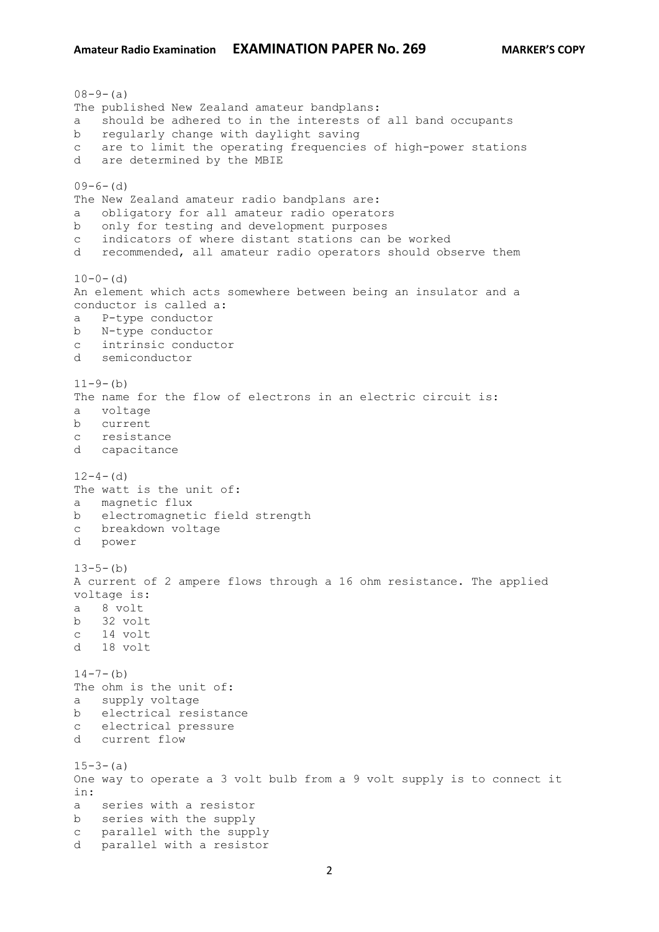$08-9-(a)$ The published New Zealand amateur bandplans: a should be adhered to in the interests of all band occupants b regularly change with daylight saving c are to limit the operating frequencies of high-power stations d are determined by the MBIE  $09-6-(d)$ The New Zealand amateur radio bandplans are: a obligatory for all amateur radio operators b only for testing and development purposes c indicators of where distant stations can be worked d recommended, all amateur radio operators should observe them  $10-0-$  (d) An element which acts somewhere between being an insulator and a conductor is called a: a P-type conductor b N-type conductor c intrinsic conductor d semiconductor  $11-9-(b)$ The name for the flow of electrons in an electric circuit is: a voltage b current c resistance d capacitance  $12-4-$  (d) The watt is the unit of: a magnetic flux b electromagnetic field strength c breakdown voltage d power  $13-5-(b)$ A current of 2 ampere flows through a 16 ohm resistance. The applied voltage is: a 8 volt b 32 volt c 14 volt d 18 volt  $14 - 7 - (b)$ The ohm is the unit of: a supply voltage b electrical resistance c electrical pressure d current flow  $15-3-(a)$ One way to operate a 3 volt bulb from a 9 volt supply is to connect it in: a series with a resistor b series with the supply c parallel with the supply d parallel with a resistor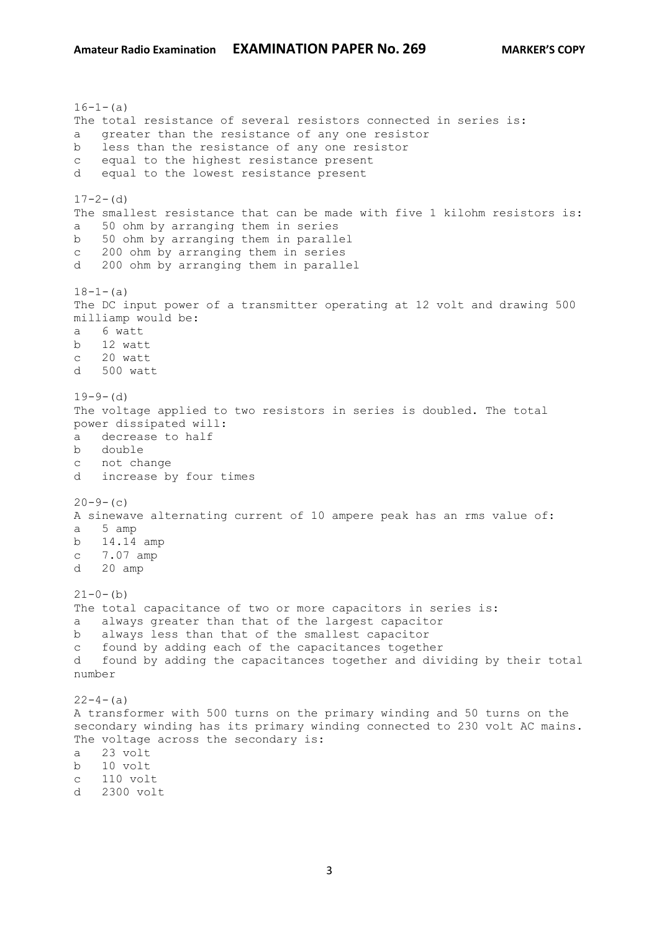$16-1-$ (a) The total resistance of several resistors connected in series is: a greater than the resistance of any one resistor b less than the resistance of any one resistor c equal to the highest resistance present d equal to the lowest resistance present  $17-2-$  (d) The smallest resistance that can be made with five 1 kilohm resistors is: a 50 ohm by arranging them in series b 50 ohm by arranging them in parallel c 200 ohm by arranging them in series d 200 ohm by arranging them in parallel  $18-1-(a)$ The DC input power of a transmitter operating at 12 volt and drawing 500 milliamp would be: a 6 watt b 12 watt c 20 watt d 500 watt  $19-9-$  (d) The voltage applied to two resistors in series is doubled. The total power dissipated will: a decrease to half b double c not change d increase by four times  $20-9-$  (c) A sinewave alternating current of 10 ampere peak has an rms value of: a 5 amp b 14.14 amp c 7.07 amp d 20 amp  $21-0-(b)$ The total capacitance of two or more capacitors in series is: a always greater than that of the largest capacitor b always less than that of the smallest capacitor c found by adding each of the capacitances together d found by adding the capacitances together and dividing by their total number  $22-4-(a)$ A transformer with 500 turns on the primary winding and 50 turns on the secondary winding has its primary winding connected to 230 volt AC mains. The voltage across the secondary is: a 23 volt b 10 volt c 110 volt d 2300 volt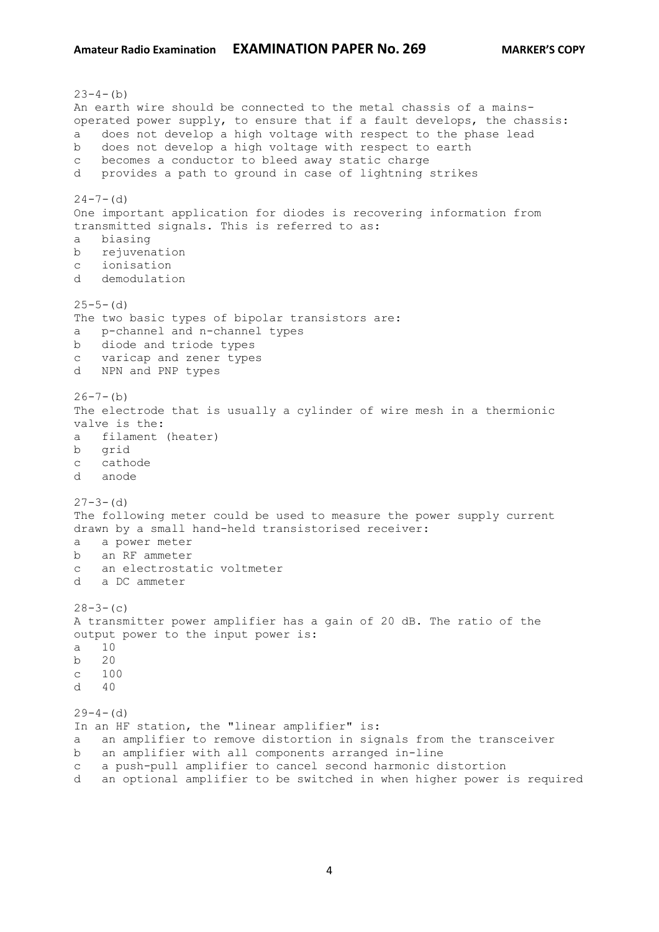$23-4-(b)$ An earth wire should be connected to the metal chassis of a mainsoperated power supply, to ensure that if a fault develops, the chassis: a does not develop a high voltage with respect to the phase lead b does not develop a high voltage with respect to earth c becomes a conductor to bleed away static charge d provides a path to ground in case of lightning strikes  $24 - 7 - (d)$ One important application for diodes is recovering information from transmitted signals. This is referred to as: a biasing b rejuvenation c ionisation d demodulation  $25-5-$  (d) The two basic types of bipolar transistors are: a p-channel and n-channel types b diode and triode types c varicap and zener types d NPN and PNP types  $26 - 7 - (b)$ The electrode that is usually a cylinder of wire mesh in a thermionic valve is the: a filament (heater) b grid c cathode d anode  $27-3-$  (d) The following meter could be used to measure the power supply current drawn by a small hand-held transistorised receiver: a a power meter b an RF ammeter c an electrostatic voltmeter d a DC ammeter  $28-3-$  (c) A transmitter power amplifier has a gain of 20 dB. The ratio of the output power to the input power is: a 10 b 20 c 100  $d \neq 40$  $29-4-$  (d) In an HF station, the "linear amplifier" is: a an amplifier to remove distortion in signals from the transceiver b an amplifier with all components arranged in-line c a push-pull amplifier to cancel second harmonic distortion d an optional amplifier to be switched in when higher power is required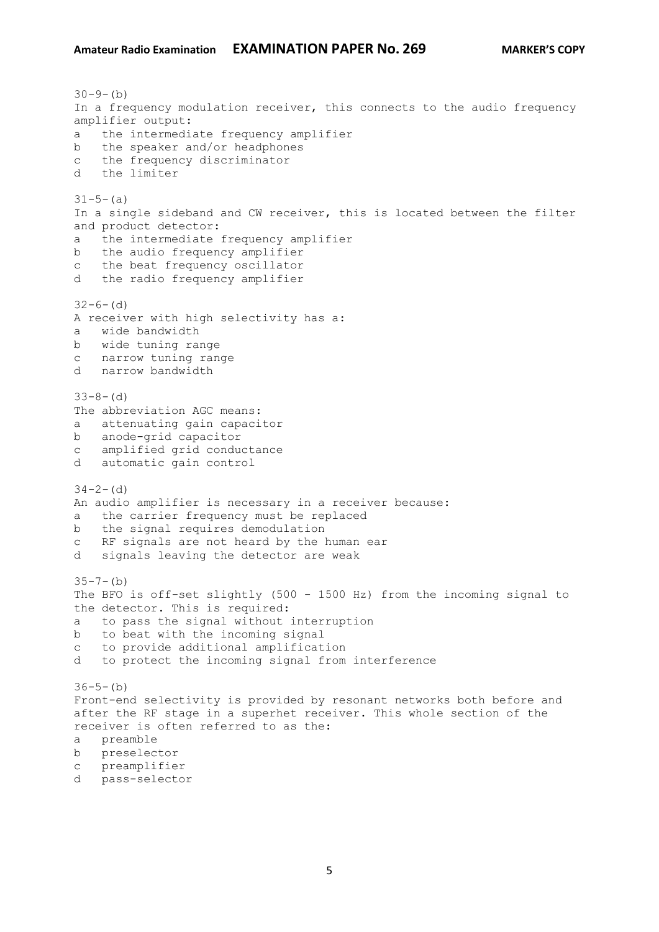## **Amateur Radio Examination EXAMINATION PAPER No. 269 MARKER'S COPY**

 $30-9-(b)$ In a frequency modulation receiver, this connects to the audio frequency amplifier output: a the intermediate frequency amplifier b the speaker and/or headphones c the frequency discriminator d the limiter  $31-5-(a)$ In a single sideband and CW receiver, this is located between the filter and product detector: a the intermediate frequency amplifier b the audio frequency amplifier c the beat frequency oscillator d the radio frequency amplifier  $32-6-$  (d) A receiver with high selectivity has a: a wide bandwidth b wide tuning range c narrow tuning range d narrow bandwidth  $33-8-(d)$ The abbreviation AGC means: a attenuating gain capacitor b anode-grid capacitor c amplified grid conductance d automatic gain control  $34-2-$  (d) An audio amplifier is necessary in a receiver because: a the carrier frequency must be replaced b the signal requires demodulation c RF signals are not heard by the human ear d signals leaving the detector are weak  $35 - 7 - (b)$ The BFO is off-set slightly (500 - 1500 Hz) from the incoming signal to the detector. This is required: a to pass the signal without interruption b to beat with the incoming signal c to provide additional amplification d to protect the incoming signal from interference  $36-5-(b)$ Front-end selectivity is provided by resonant networks both before and after the RF stage in a superhet receiver. This whole section of the receiver is often referred to as the: a preamble b preselector c preamplifier d pass-selector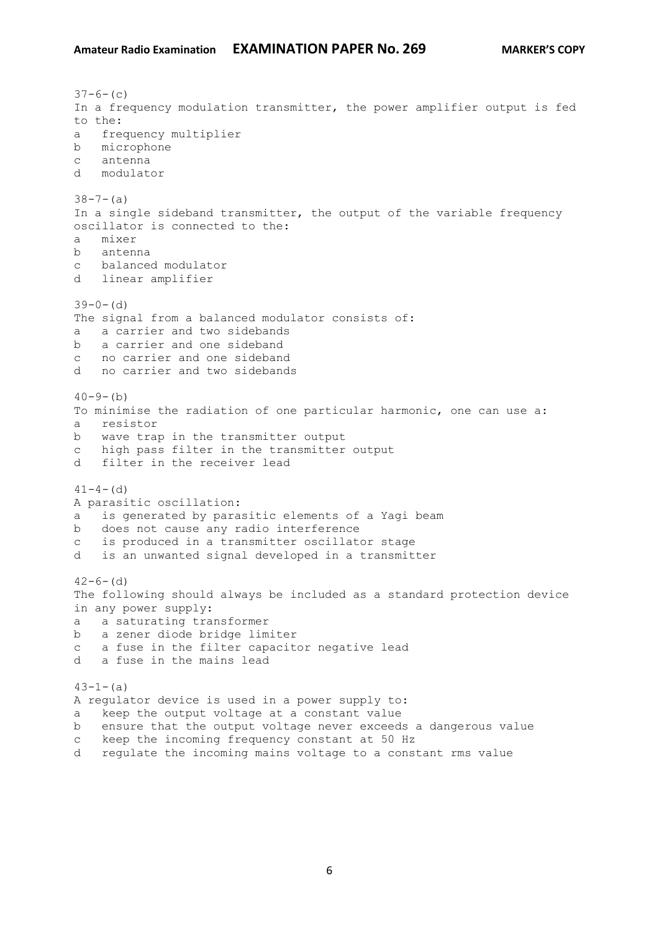```
37-6- (c)
In a frequency modulation transmitter, the power amplifier output is fed 
to the:
a frequency multiplier
b microphone
c antenna
d modulator
38 - 7 - (a)In a single sideband transmitter, the output of the variable frequency 
oscillator is connected to the:
a mixer
b antenna
c balanced modulator
d linear amplifier
39-0- (d)
The signal from a balanced modulator consists of:
a a carrier and two sidebands
b a carrier and one sideband
c no carrier and one sideband
d no carrier and two sidebands
40-9-(b)To minimise the radiation of one particular harmonic, one can use a:
a resistor
b wave trap in the transmitter output
c high pass filter in the transmitter output
d filter in the receiver lead
41-4- (d)
A parasitic oscillation:
a is generated by parasitic elements of a Yagi beam
b does not cause any radio interference
c is produced in a transmitter oscillator stage
d is an unwanted signal developed in a transmitter
42-6- (d)
The following should always be included as a standard protection device 
in any power supply:
a a saturating transformer
b a zener diode bridge limiter
c a fuse in the filter capacitor negative lead
d a fuse in the mains lead
43-1-(a)A regulator device is used in a power supply to:
a keep the output voltage at a constant value
b ensure that the output voltage never exceeds a dangerous value
c keep the incoming frequency constant at 50 Hz
```
d regulate the incoming mains voltage to a constant rms value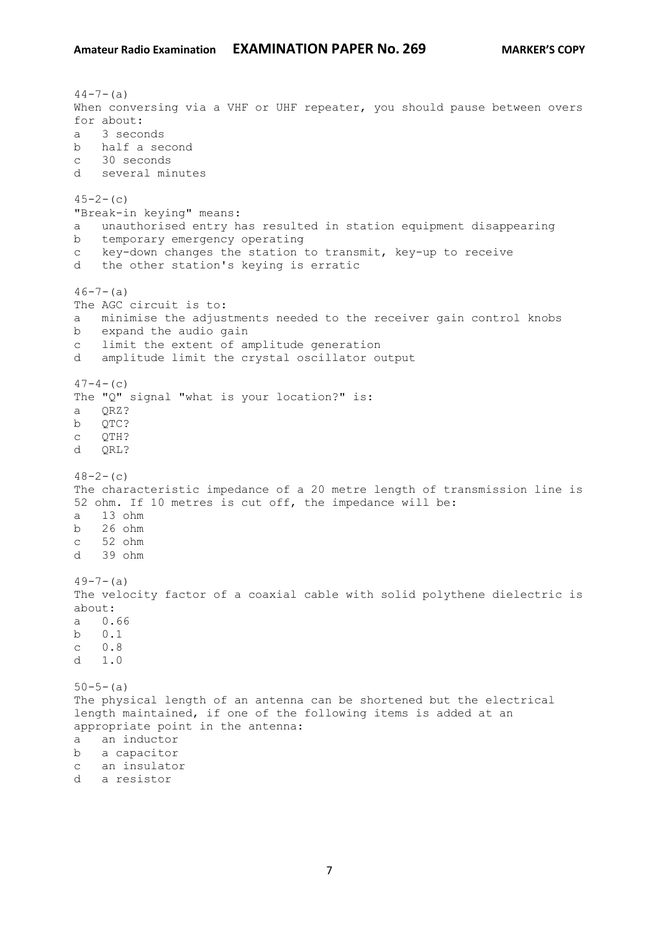$44-7-(a)$ When conversing via a VHF or UHF repeater, you should pause between overs for about: a 3 seconds b half a second c 30 seconds d several minutes  $45-2-$  (c) "Break-in keying" means: a unauthorised entry has resulted in station equipment disappearing b temporary emergency operating c key-down changes the station to transmit, key-up to receive d the other station's keying is erratic  $46 - 7 - (a)$ The AGC circuit is to: a minimise the adjustments needed to the receiver gain control knobs b expand the audio gain c limit the extent of amplitude generation d amplitude limit the crystal oscillator output  $47-4-$  (c) The "Q" signal "what is your location?" is: a QRZ? b QTC? c QTH? d QRL?  $48-2-$  (c) The characteristic impedance of a 20 metre length of transmission line is 52 ohm. If 10 metres is cut off, the impedance will be: a 13 ohm b 26 ohm c 52 ohm d 39 ohm  $49-7-(a)$ The velocity factor of a coaxial cable with solid polythene dielectric is about: a 0.66 b 0.1 c 0.8 d 1.0  $50 - 5 - (a)$ The physical length of an antenna can be shortened but the electrical length maintained, if one of the following items is added at an appropriate point in the antenna: a an inductor b a capacitor c an insulator d a resistor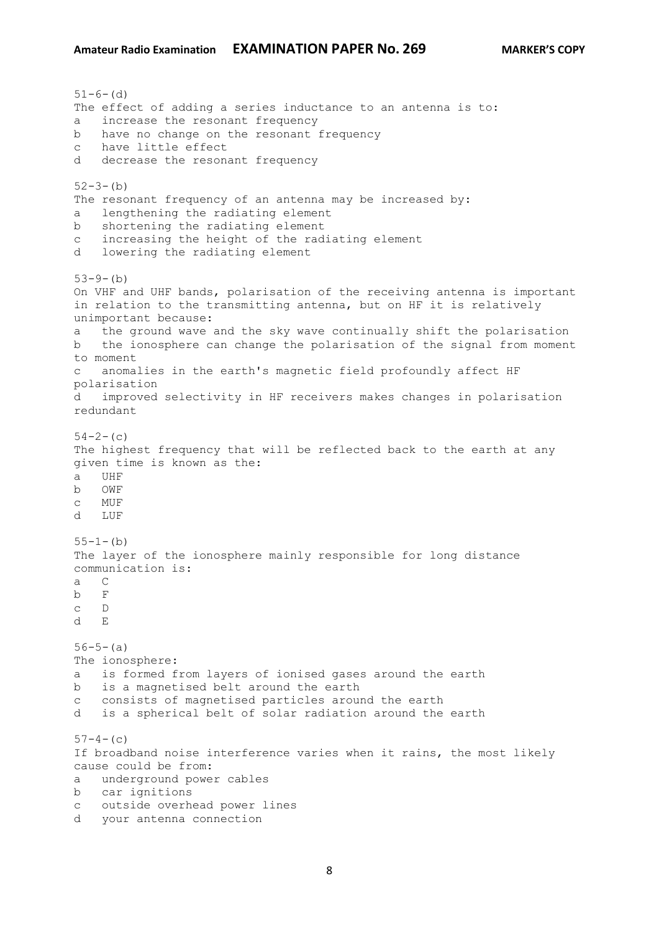$51-6-$  (d) The effect of adding a series inductance to an antenna is to: a increase the resonant frequency b have no change on the resonant frequency c have little effect d decrease the resonant frequency  $52-3-(b)$ The resonant frequency of an antenna may be increased by: a lengthening the radiating element b shortening the radiating element c increasing the height of the radiating element d lowering the radiating element  $53-9-$ (b) On VHF and UHF bands, polarisation of the receiving antenna is important in relation to the transmitting antenna, but on HF it is relatively unimportant because: a the ground wave and the sky wave continually shift the polarisation b the ionosphere can change the polarisation of the signal from moment to moment c anomalies in the earth's magnetic field profoundly affect HF polarisation d improved selectivity in HF receivers makes changes in polarisation redundant  $54-2-$ (c) The highest frequency that will be reflected back to the earth at any given time is known as the: a UHF b OWF c MUF d LUF  $55-1-(b)$ The layer of the ionosphere mainly responsible for long distance communication is: a C b F c D d E  $56-5-(a)$ The ionosphere: a is formed from layers of ionised gases around the earth b is a magnetised belt around the earth c consists of magnetised particles around the earth d is a spherical belt of solar radiation around the earth  $57-4-$ (c) If broadband noise interference varies when it rains, the most likely cause could be from: a underground power cables b car ignitions c outside overhead power lines d your antenna connection